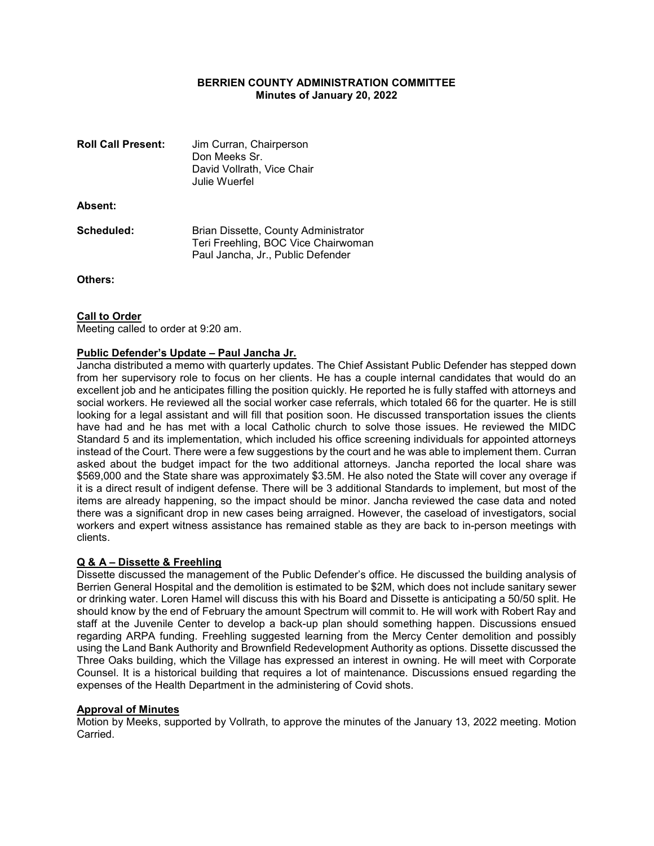# BERRIEN COUNTY ADMINISTRATION COMMITTEE Minutes of January 20, 2022

| <b>Roll Call Present:</b> | Jim Curran, Chairperson<br>Don Meeks Sr.<br>David Vollrath, Vice Chair<br>Julie Wuerfel                          |
|---------------------------|------------------------------------------------------------------------------------------------------------------|
| Absent:                   |                                                                                                                  |
| Scheduled:                | Brian Dissette, County Administrator<br>Teri Freehling, BOC Vice Chairwoman<br>Paul Jancha, Jr., Public Defender |

Others:

# **Call to Order**

Meeting called to order at 9:20 am.

### Public Defender's Update – Paul Jancha Jr.

Jancha distributed a memo with quarterly updates. The Chief Assistant Public Defender has stepped down from her supervisory role to focus on her clients. He has a couple internal candidates that would do an excellent job and he anticipates filling the position quickly. He reported he is fully staffed with attorneys and social workers. He reviewed all the social worker case referrals, which totaled 66 for the quarter. He is still looking for a legal assistant and will fill that position soon. He discussed transportation issues the clients have had and he has met with a local Catholic church to solve those issues. He reviewed the MIDC Standard 5 and its implementation, which included his office screening individuals for appointed attorneys instead of the Court. There were a few suggestions by the court and he was able to implement them. Curran asked about the budget impact for the two additional attorneys. Jancha reported the local share was \$569,000 and the State share was approximately \$3.5M. He also noted the State will cover any overage if it is a direct result of indigent defense. There will be 3 additional Standards to implement, but most of the items are already happening, so the impact should be minor. Jancha reviewed the case data and noted there was a significant drop in new cases being arraigned. However, the caseload of investigators, social workers and expert witness assistance has remained stable as they are back to in-person meetings with clients.

# Q & A – Dissette & Freehling

Dissette discussed the management of the Public Defender's office. He discussed the building analysis of Berrien General Hospital and the demolition is estimated to be \$2M, which does not include sanitary sewer or drinking water. Loren Hamel will discuss this with his Board and Dissette is anticipating a 50/50 split. He should know by the end of February the amount Spectrum will commit to. He will work with Robert Ray and staff at the Juvenile Center to develop a back-up plan should something happen. Discussions ensued regarding ARPA funding. Freehling suggested learning from the Mercy Center demolition and possibly using the Land Bank Authority and Brownfield Redevelopment Authority as options. Dissette discussed the Three Oaks building, which the Village has expressed an interest in owning. He will meet with Corporate Counsel. It is a historical building that requires a lot of maintenance. Discussions ensued regarding the expenses of the Health Department in the administering of Covid shots.

#### Approval of Minutes

Motion by Meeks, supported by Vollrath, to approve the minutes of the January 13, 2022 meeting. Motion Carried.